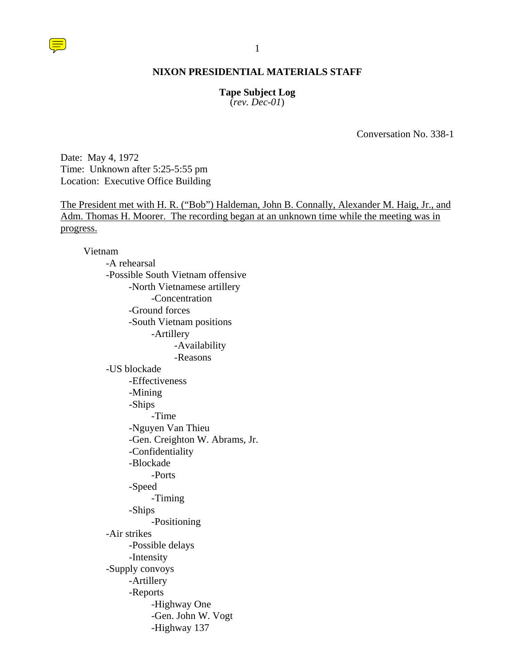## **Tape Subject Log**

(*rev. Dec-01*)

Conversation No. 338-1

Date: May 4, 1972 Time: Unknown after 5:25-5:55 pm Location: Executive Office Building

The President met with H. R. ("Bob") Haldeman, John B. Connally, Alexander M. Haig, Jr., and Adm. Thomas H. Moorer. The recording began at an unknown time while the meeting was in progress.

#### Vietnam

-A rehearsal -Possible South Vietnam offensive -North Vietnamese artillery -Concentration -Ground forces -South Vietnam positions -Artillery -Availability -Reasons -US blockade -Effectiveness -Mining -Ships -Time -Nguyen Van Thieu -Gen. Creighton W. Abrams, Jr. -Confidentiality -Blockade -Ports -Speed -Timing -Ships -Positioning -Air strikes -Possible delays -Intensity -Supply convoys -Artillery -Reports -Highway One -Gen. John W. Vogt -Highway 137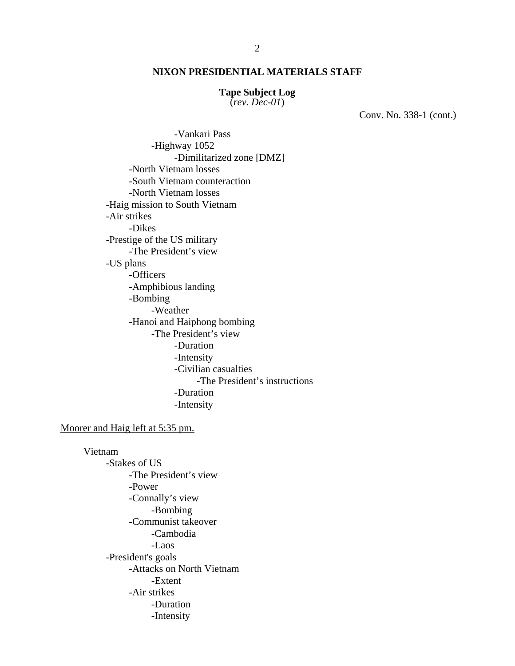#### **Tape Subject Log**

(*rev. Dec-01*)

Conv. No. 338-1 (cont.)

 -Vankari Pass -Highway 1052 -Dimilitarized zone [DMZ] -North Vietnam losses -South Vietnam counteraction -North Vietnam losses -Haig mission to South Vietnam -Air strikes -Dikes -Prestige of the US military -The President's view -US plans -Officers -Amphibious landing -Bombing -Weather -Hanoi and Haiphong bombing -The President's view -Duration -Intensity -Civilian casualties -The President's instructions -Duration -Intensity

#### Moorer and Haig left at 5:35 pm.

Vietnam -Stakes of US -The President's view -Power -Connally's view -Bombing -Communist takeover -Cambodia -Laos -President's goals -Attacks on North Vietnam -Extent -Air strikes -Duration -Intensity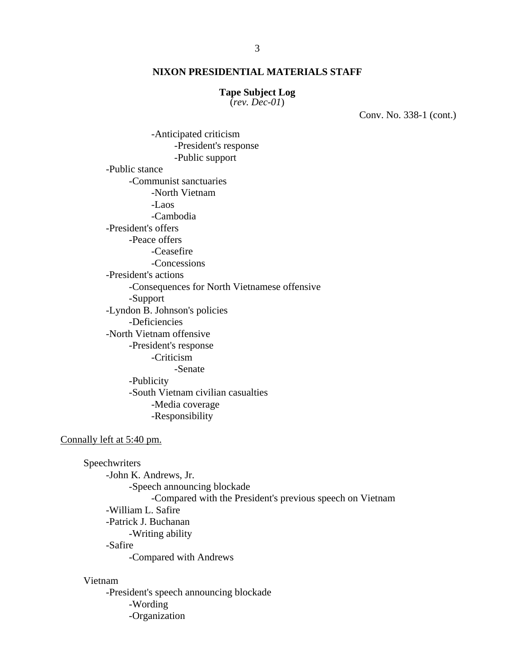#### **Tape Subject Log**

(*rev. Dec-01*)

Conv. No. 338-1 (cont.)

 -Anticipated criticism -President's response -Public support -Public stance -Communist sanctuaries -North Vietnam -Laos -Cambodia -President's offers -Peace offers -Ceasefire -Concessions -President's actions -Consequences for North Vietnamese offensive -Support -Lyndon B. Johnson's policies -Deficiencies -North Vietnam offensive -President's response -Criticism -Senate -Publicity -South Vietnam civilian casualties -Media coverage -Responsibility

#### Connally left at 5:40 pm.

**Speechwriters**  -John K. Andrews, Jr. -Speech announcing blockade -Compared with the President's previous speech on Vietnam -William L. Safire -Patrick J. Buchanan -Writing ability -Safire -Compared with Andrews

#### Vietnam

-President's speech announcing blockade -Wording -Organization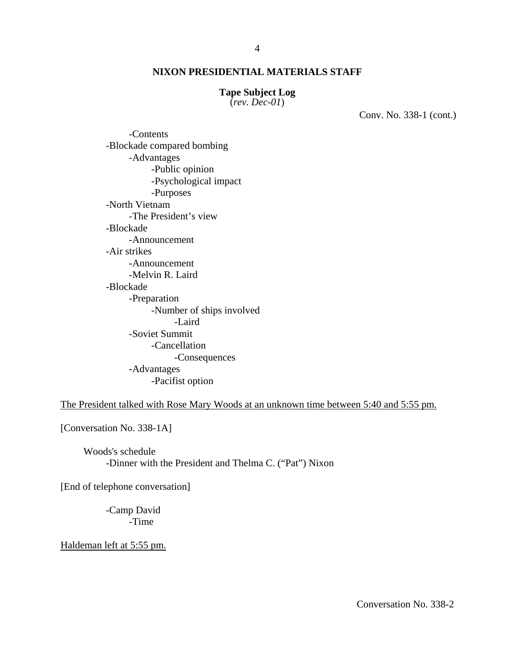#### **Tape Subject Log**

(*rev. Dec-01*)

Conv. No. 338-1 (cont.)

-Contents -Blockade compared bombing -Advantages -Public opinion -Psychological impact -Purposes -North Vietnam -The President's view -Blockade -Announcement -Air strikes -Announcement -Melvin R. Laird -Blockade -Preparation -Number of ships involved -Laird -Soviet Summit -Cancellation -Consequences -Advantages -Pacifist option

The President talked with Rose Mary Woods at an unknown time between 5:40 and 5:55 pm.

[Conversation No. 338-1A]

Woods's schedule -Dinner with the President and Thelma C. ("Pat") Nixon

[End of telephone conversation]

-Camp David -Time

Haldeman left at 5:55 pm.

Conversation No. 338-2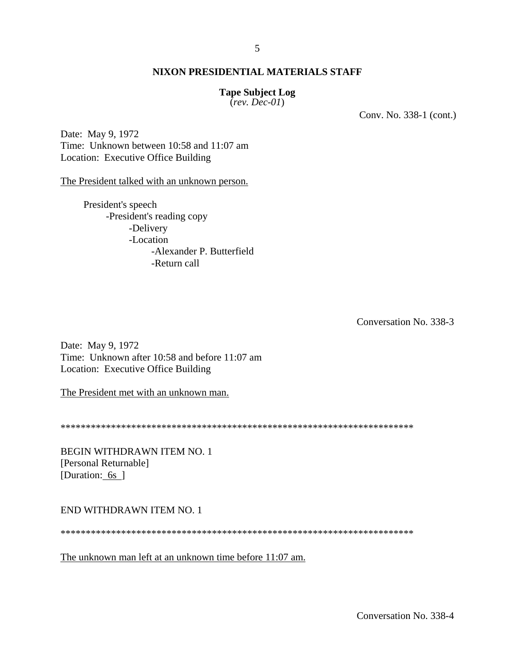## **Tape Subject Log**

(*rev. Dec-01*)

Conv. No. 338-1 (cont.)

Date: May 9, 1972 Time: Unknown between 10:58 and 11:07 am Location: Executive Office Building

The President talked with an unknown person.

President's speech -President's reading copy -Delivery -Location -Alexander P. Butterfield -Return call

Conversation No. 338-3

Date: May 9, 1972 Time: Unknown after 10:58 and before 11:07 am Location: Executive Office Building

The President met with an unknown man.

\*\*\*\*\*\*\*\*\*\*\*\*\*\*\*\*\*\*\*\*\*\*\*\*\*\*\*\*\*\*\*\*\*\*\*\*\*\*\*\*\*\*\*\*\*\*\*\*\*\*\*\*\*\*\*\*\*\*\*\*\*\*\*\*\*\*\*\*\*\*

BEGIN WITHDRAWN ITEM NO. 1 [Personal Returnable] [Duration: 6s ]

END WITHDRAWN ITEM NO. 1

\*\*\*\*\*\*\*\*\*\*\*\*\*\*\*\*\*\*\*\*\*\*\*\*\*\*\*\*\*\*\*\*\*\*\*\*\*\*\*\*\*\*\*\*\*\*\*\*\*\*\*\*\*\*\*\*\*\*\*\*\*\*\*\*\*\*\*\*\*\*

The unknown man left at an unknown time before 11:07 am.

Conversation No. 338-4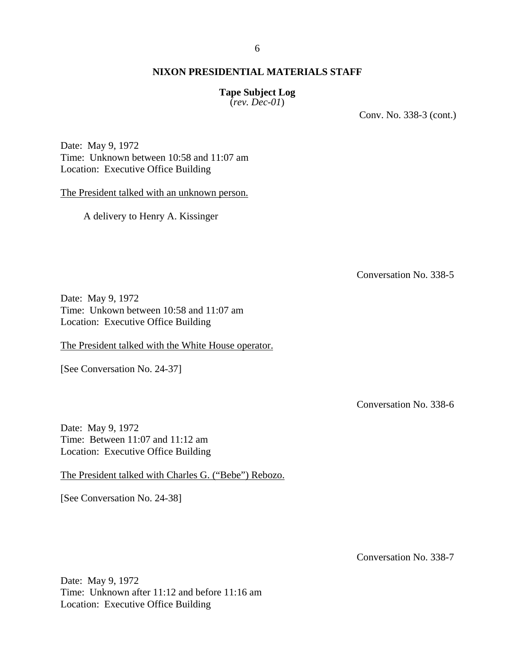## **Tape Subject Log**

(*rev. Dec-01*)

Conv. No. 338-3 (cont.)

Date: May 9, 1972 Time: Unknown between 10:58 and 11:07 am Location: Executive Office Building

The President talked with an unknown person.

A delivery to Henry A. Kissinger

Conversation No. 338-5

Date: May 9, 1972 Time: Unkown between 10:58 and 11:07 am Location: Executive Office Building

The President talked with the White House operator.

[See Conversation No. 24-37]

Conversation No. 338-6

Date: May 9, 1972 Time: Between 11:07 and 11:12 am Location: Executive Office Building

The President talked with Charles G. ("Bebe") Rebozo.

[See Conversation No. 24-38]

Conversation No. 338-7

Date: May 9, 1972 Time: Unknown after 11:12 and before 11:16 am Location: Executive Office Building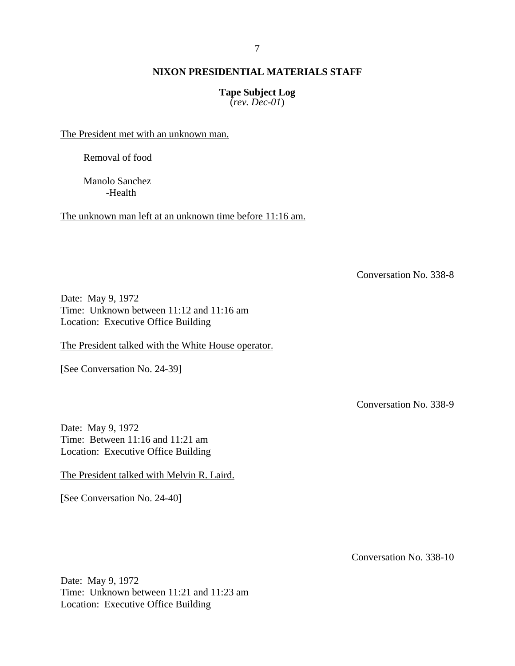## **Tape Subject Log**

(*rev. Dec-01*)

The President met with an unknown man.

Removal of food

Manolo Sanchez -Health

The unknown man left at an unknown time before 11:16 am.

Conversation No. 338-8

Date: May 9, 1972 Time: Unknown between 11:12 and 11:16 am Location: Executive Office Building

The President talked with the White House operator.

[See Conversation No. 24-39]

Conversation No. 338-9

Date: May 9, 1972 Time: Between 11:16 and 11:21 am Location: Executive Office Building

The President talked with Melvin R. Laird.

[See Conversation No. 24-40]

Conversation No. 338-10

Date: May 9, 1972 Time: Unknown between 11:21 and 11:23 am Location: Executive Office Building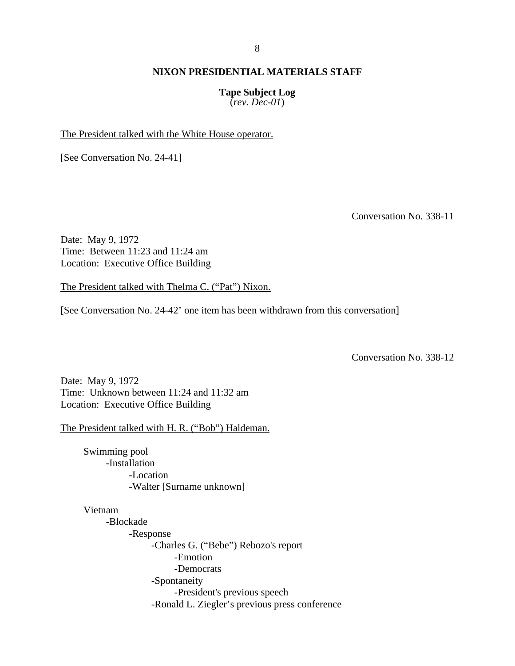## **Tape Subject Log**

(*rev. Dec-01*)

The President talked with the White House operator.

[See Conversation No. 24-41]

Conversation No. 338-11

Date: May 9, 1972 Time: Between 11:23 and 11:24 am Location: Executive Office Building

The President talked with Thelma C. ("Pat") Nixon.

[See Conversation No. 24-42' one item has been withdrawn from this conversation]

Conversation No. 338-12

Date: May 9, 1972 Time: Unknown between 11:24 and 11:32 am Location: Executive Office Building

The President talked with H. R. ("Bob") Haldeman.

Swimming pool -Installation -Location -Walter [Surname unknown]

Vietnam

-Blockade -Response -Charles G. ("Bebe") Rebozo's report -Emotion -Democrats -Spontaneity -President's previous speech -Ronald L. Ziegler's previous press conference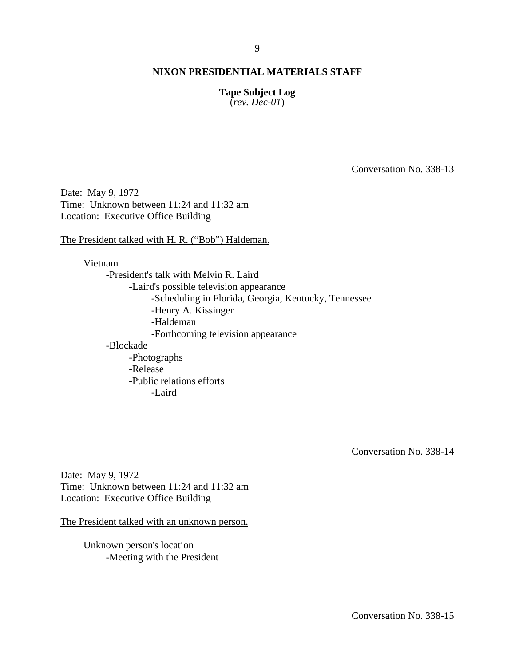## **Tape Subject Log**

(*rev. Dec-01*)

Conversation No. 338-13

Date: May 9, 1972 Time: Unknown between 11:24 and 11:32 am Location: Executive Office Building

The President talked with H. R. ("Bob") Haldeman.

Vietnam -President's talk with Melvin R. Laird -Laird's possible television appearance -Scheduling in Florida, Georgia, Kentucky, Tennessee -Henry A. Kissinger -Haldeman -Forthcoming television appearance -Blockade -Photographs -Release -Public relations efforts -Laird

Conversation No. 338-14

Date: May 9, 1972 Time: Unknown between 11:24 and 11:32 am Location: Executive Office Building

The President talked with an unknown person.

Unknown person's location -Meeting with the President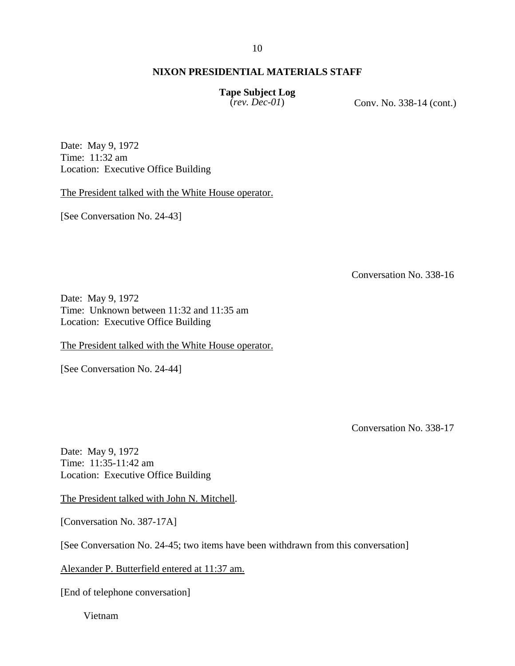#### 10

## **NIXON PRESIDENTIAL MATERIALS STAFF**

**Tape Subject Log** 

(*rev. Dec-01*) Conv. No. 338-14 (cont.)

Date: May 9, 1972 Time: 11:32 am Location: Executive Office Building

The President talked with the White House operator.

[See Conversation No. 24-43]

Conversation No. 338-16

Date: May 9, 1972 Time: Unknown between 11:32 and 11:35 am Location: Executive Office Building

The President talked with the White House operator.

[See Conversation No. 24-44]

Conversation No. 338-17

Date: May 9, 1972 Time: 11:35-11:42 am Location: Executive Office Building

The President talked with John N. Mitchell.

[Conversation No. 387-17A]

[See Conversation No. 24-45; two items have been withdrawn from this conversation]

Alexander P. Butterfield entered at 11:37 am.

[End of telephone conversation]

Vietnam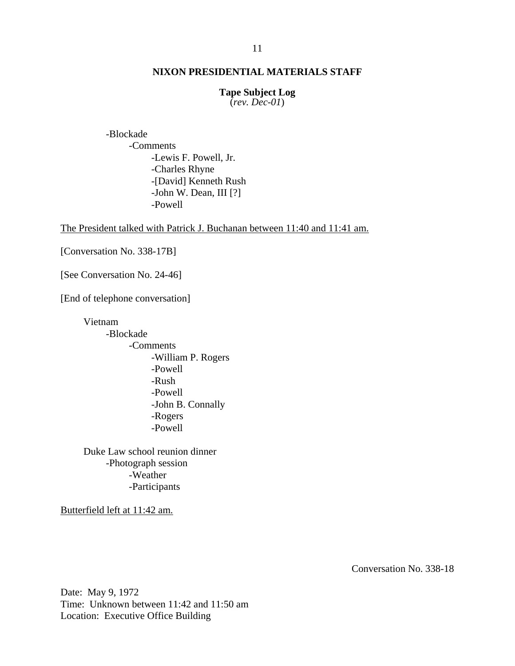#### **Tape Subject Log**

(*rev. Dec-01*)

-Blockade -Comments -Lewis F. Powell, Jr. -Charles Rhyne -[David] Kenneth Rush -John W. Dean, III [?] -Powell

The President talked with Patrick J. Buchanan between 11:40 and 11:41 am.

[Conversation No. 338-17B]

[See Conversation No. 24-46]

[End of telephone conversation]

Vietnam -Blockade -Comments -William P. Rogers -Powell -Rush -Powell -John B. Connally -Rogers -Powell

Duke Law school reunion dinner -Photograph session -Weather -Participants

Butterfield left at 11:42 am.

Conversation No. 338-18

Date: May 9, 1972 Time: Unknown between 11:42 and 11:50 am Location: Executive Office Building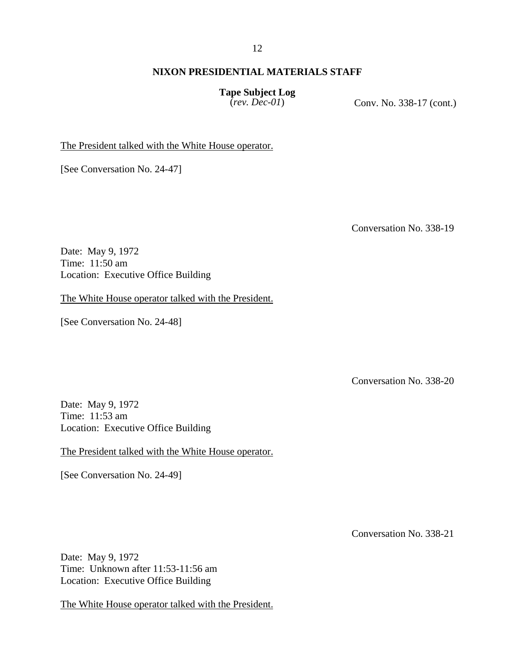#### 12

## **NIXON PRESIDENTIAL MATERIALS STAFF**

**Tape Subject Log** 

(*rev. Dec-01*) Conv. No. 338-17 (cont.)

The President talked with the White House operator.

[See Conversation No. 24-47]

Conversation No. 338-19

Date: May 9, 1972 Time: 11:50 am Location: Executive Office Building

The White House operator talked with the President.

[See Conversation No. 24-48]

Conversation No. 338-20

Date: May 9, 1972 Time: 11:53 am Location: Executive Office Building

The President talked with the White House operator.

[See Conversation No. 24-49]

Conversation No. 338-21

Date: May 9, 1972 Time: Unknown after 11:53-11:56 am Location: Executive Office Building

The White House operator talked with the President.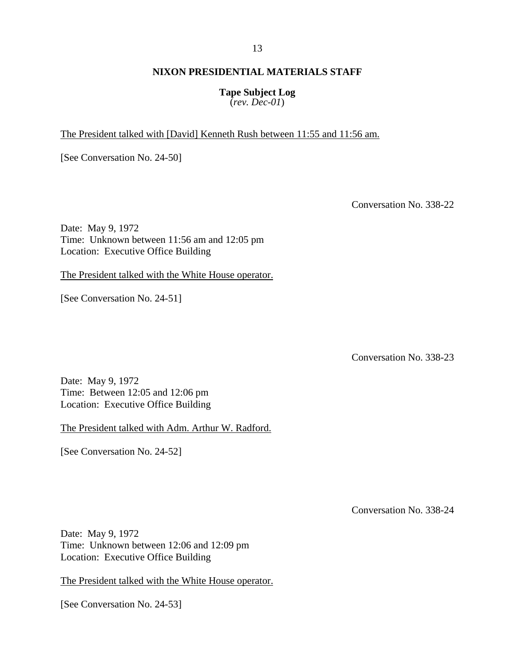## **Tape Subject Log**

(*rev. Dec-01*)

The President talked with [David] Kenneth Rush between 11:55 and 11:56 am.

[See Conversation No. 24-50]

Conversation No. 338-22

Date: May 9, 1972 Time: Unknown between 11:56 am and 12:05 pm Location: Executive Office Building

The President talked with the White House operator.

[See Conversation No. 24-51]

Conversation No. 338-23

Date: May 9, 1972 Time: Between 12:05 and 12:06 pm Location: Executive Office Building

The President talked with Adm. Arthur W. Radford.

[See Conversation No. 24-52]

Conversation No. 338-24

Date: May 9, 1972 Time: Unknown between 12:06 and 12:09 pm Location: Executive Office Building

The President talked with the White House operator.

[See Conversation No. 24-53]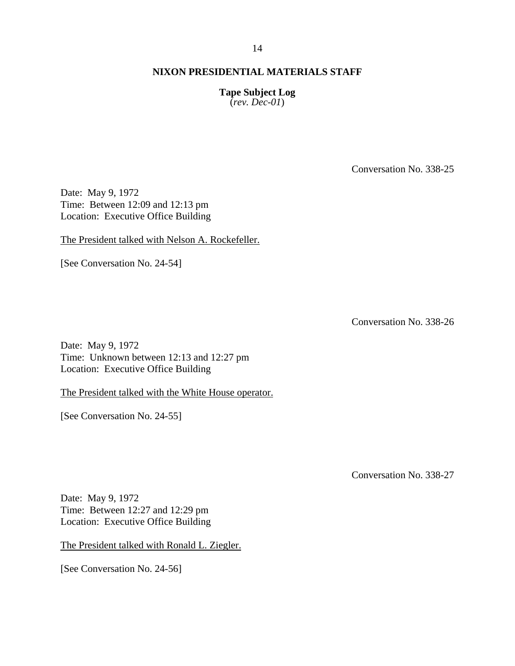**Tape Subject Log**  (*rev. Dec-01*)

Conversation No. 338-25

Date: May 9, 1972 Time: Between 12:09 and 12:13 pm Location: Executive Office Building

The President talked with Nelson A. Rockefeller.

[See Conversation No. 24-54]

Conversation No. 338-26

Date: May 9, 1972 Time: Unknown between 12:13 and 12:27 pm Location: Executive Office Building

The President talked with the White House operator.

[See Conversation No. 24-55]

Conversation No. 338-27

Date: May 9, 1972 Time: Between 12:27 and 12:29 pm Location: Executive Office Building

The President talked with Ronald L. Ziegler.

[See Conversation No. 24-56]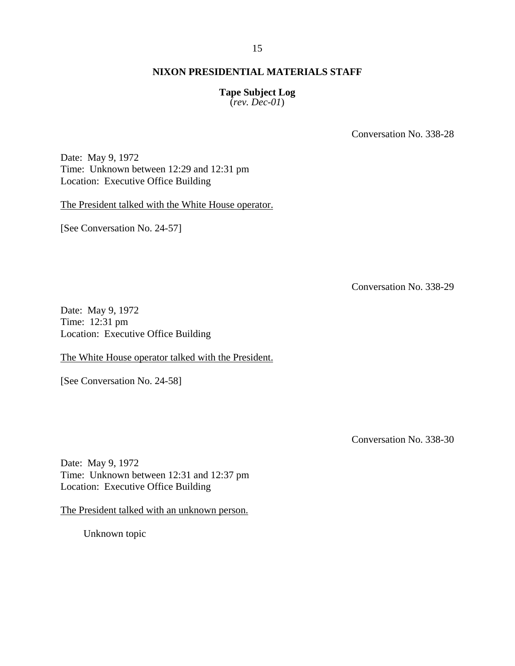#### 15

## **NIXON PRESIDENTIAL MATERIALS STAFF**

## **Tape Subject Log**

(*rev. Dec-01*)

Conversation No. 338-28

Date: May 9, 1972 Time: Unknown between 12:29 and 12:31 pm Location: Executive Office Building

The President talked with the White House operator.

[See Conversation No. 24-57]

Conversation No. 338-29

Date: May 9, 1972 Time: 12:31 pm Location: Executive Office Building

The White House operator talked with the President.

[See Conversation No. 24-58]

Conversation No. 338-30

Date: May 9, 1972 Time: Unknown between 12:31 and 12:37 pm Location: Executive Office Building

The President talked with an unknown person.

Unknown topic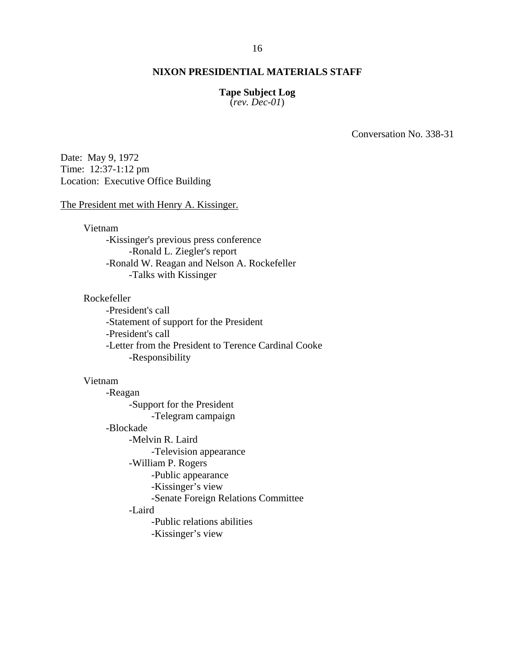#### **Tape Subject Log**

(*rev. Dec-01*)

Conversation No. 338-31

Date: May 9, 1972 Time: 12:37-1:12 pm Location: Executive Office Building

#### The President met with Henry A. Kissinger.

Vietnam

-Kissinger's previous press conference -Ronald L. Ziegler's report -Ronald W. Reagan and Nelson A. Rockefeller -Talks with Kissinger

#### Rockefeller

-President's call -Statement of support for the President -President's call -Letter from the President to Terence Cardinal Cooke -Responsibility

## Vietnam

-Reagan -Support for the President -Telegram campaign -Blockade -Melvin R. Laird -Television appearance -William P. Rogers -Public appearance -Kissinger's view -Senate Foreign Relations Committee -Laird -Public relations abilities -Kissinger's view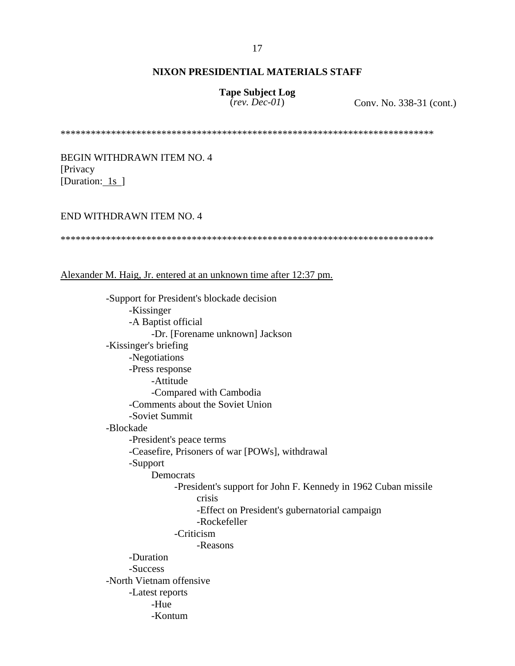# **Tape Subject Log**

(*rev. Dec-01*) Conv. No. 338-31 (cont.)

\*\*\*\*\*\*\*\*\*\*\*\*\*\*\*\*\*\*\*\*\*\*\*\*\*\*\*\*\*\*\*\*\*\*\*\*\*\*\*\*\*\*\*\*\*\*\*\*\*\*\*\*\*\*\*\*\*\*\*\*\*\*\*\*\*\*\*\*\*\*\*\*\*\*

BEGIN WITHDRAWN ITEM NO. 4 [Privacy [Duration: 1s ]

#### END WITHDRAWN ITEM NO. 4

\*\*\*\*\*\*\*\*\*\*\*\*\*\*\*\*\*\*\*\*\*\*\*\*\*\*\*\*\*\*\*\*\*\*\*\*\*\*\*\*\*\*\*\*\*\*\*\*\*\*\*\*\*\*\*\*\*\*\*\*\*\*\*\*\*\*\*\*\*\*\*\*\*\*

#### Alexander M. Haig, Jr. entered at an unknown time after 12:37 pm.

-Support for President's blockade decision -Kissinger -A Baptist official -Dr. [Forename unknown] Jackson -Kissinger's briefing -Negotiations -Press response -Attitude -Compared with Cambodia -Comments about the Soviet Union -Soviet Summit -Blockade -President's peace terms -Ceasefire, Prisoners of war [POWs], withdrawal -Support Democrats -President's support for John F. Kennedy in 1962 Cuban missile crisis -Effect on President's gubernatorial campaign -Rockefeller -Criticism -Reasons -Duration -Success -North Vietnam offensive -Latest reports -Hue -Kontum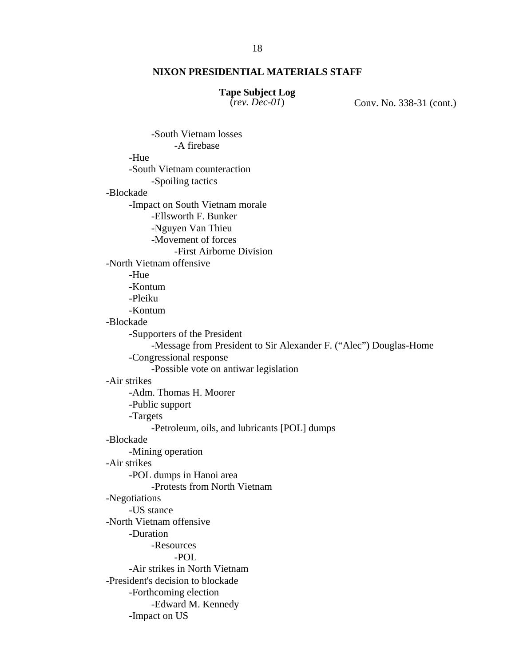## **Tape Subject Log**

(*rev. Dec-01*) Conv. No. 338-31 (cont.)

 -South Vietnam losses -A firebase -Hue -South Vietnam counteraction -Spoiling tactics -Blockade -Impact on South Vietnam morale -Ellsworth F. Bunker -Nguyen Van Thieu -Movement of forces -First Airborne Division -North Vietnam offensive -Hue -Kontum -Pleiku -Kontum -Blockade -Supporters of the President -Message from President to Sir Alexander F. ("Alec") Douglas-Home -Congressional response -Possible vote on antiwar legislation -Air strikes -Adm. Thomas H. Moorer -Public support -Targets -Petroleum, oils, and lubricants [POL] dumps -Blockade -Mining operation -Air strikes -POL dumps in Hanoi area -Protests from North Vietnam -Negotiations -US stance -North Vietnam offensive -Duration -Resources -POL -Air strikes in North Vietnam -President's decision to blockade -Forthcoming election -Edward M. Kennedy -Impact on US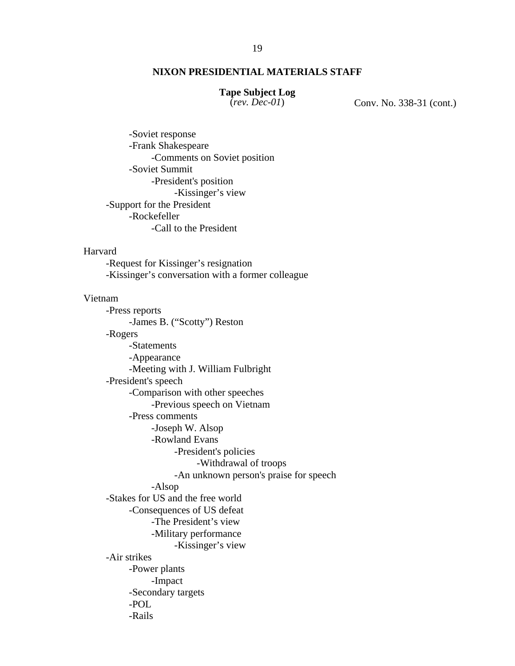## **Tape Subject Log**

(*rev. Dec-01*) Conv. No. 338-31 (cont.)

-Soviet response -Frank Shakespeare -Comments on Soviet position -Soviet Summit -President's position -Kissinger's view -Support for the President -Rockefeller -Call to the President

### Harvard

 -Request for Kissinger's resignation -Kissinger's conversation with a former colleague

#### Vietnam

-Press reports -James B. ("Scotty") Reston -Rogers -Statements -Appearance -Meeting with J. William Fulbright -President's speech -Comparison with other speeches -Previous speech on Vietnam -Press comments -Joseph W. Alsop -Rowland Evans -President's policies -Withdrawal of troops -An unknown person's praise for speech -Alsop -Stakes for US and the free world -Consequences of US defeat -The President's view -Military performance -Kissinger's view -Air strikes -Power plants -Impact -Secondary targets -POL -Rails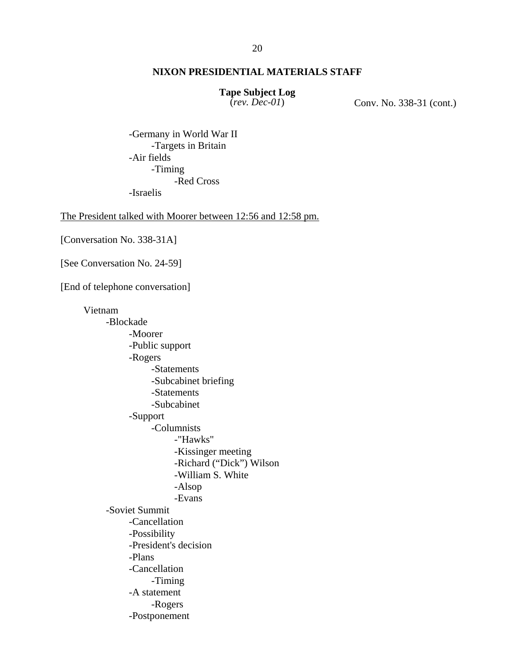# **Tape Subject Log**

(*rev. Dec-01*) Conv. No. 338-31 (cont.)

-Germany in World War II -Targets in Britain -Air fields -Timing -Red Cross -Israelis

The President talked with Moorer between 12:56 and 12:58 pm.

[Conversation No. 338-31A]

[See Conversation No. 24-59]

[End of telephone conversation]

Vietnam -Blockade -Moorer -Public support -Rogers -Statements -Subcabinet briefing -Statements -Subcabinet -Support -Columnists -"Hawks" -Kissinger meeting -Richard ("Dick") Wilson -William S. White -Alsop -Evans -Soviet Summit -Cancellation -Possibility -President's decision -Plans -Cancellation -Timing -A statement -Rogers -Postponement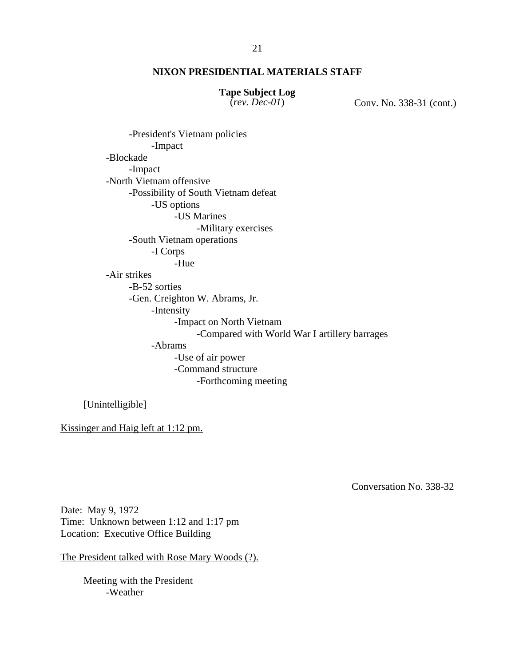# **Tape Subject Log**

(*rev. Dec-01*) Conv. No. 338-31 (cont.)

-President's Vietnam policies -Impact -Blockade -Impact -North Vietnam offensive -Possibility of South Vietnam defeat -US options -US Marines -Military exercises -South Vietnam operations -I Corps -Hue -Air strikes -B-52 sorties -Gen. Creighton W. Abrams, Jr. -Intensity -Impact on North Vietnam -Compared with World War I artillery barrages -Abrams -Use of air power -Command structure -Forthcoming meeting

[Unintelligible]

Kissinger and Haig left at 1:12 pm.

Conversation No. 338-32

Date: May 9, 1972 Time: Unknown between 1:12 and 1:17 pm Location: Executive Office Building

The President talked with Rose Mary Woods (?).

Meeting with the President -Weather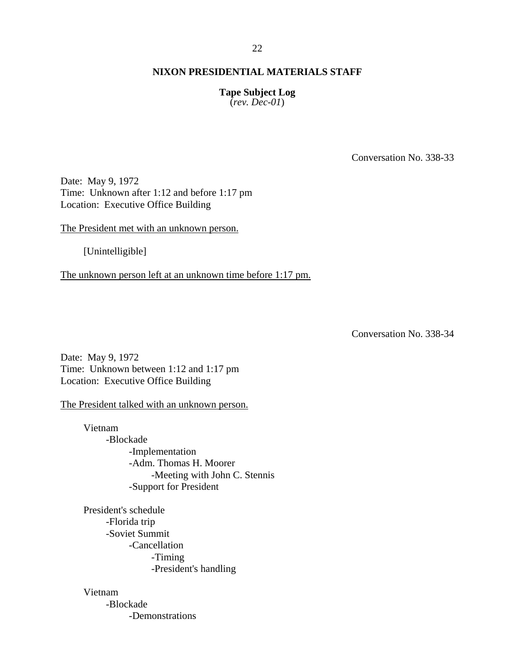#### 22

### **NIXON PRESIDENTIAL MATERIALS STAFF**

## **Tape Subject Log**

(*rev. Dec-01*)

Conversation No. 338-33

Date: May 9, 1972 Time: Unknown after 1:12 and before 1:17 pm Location: Executive Office Building

The President met with an unknown person.

[Unintelligible]

The unknown person left at an unknown time before 1:17 pm.

Conversation No. 338-34

Date: May 9, 1972 Time: Unknown between 1:12 and 1:17 pm Location: Executive Office Building

The President talked with an unknown person.

Vietnam -Blockade -Implementation -Adm. Thomas H. Moorer -Meeting with John C. Stennis -Support for President

President's schedule -Florida trip -Soviet Summit -Cancellation -Timing -President's handling

Vietnam

-Blockade -Demonstrations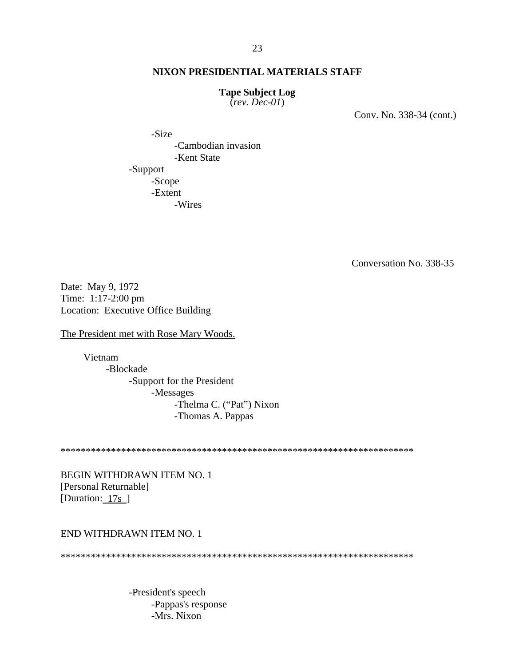#### **Tape Subject Log**

(*rev. Dec-01*)

Conv. No. 338-34 (cont.)

 -Size -Cambodian invasion -Kent State -Support -Scope -Extent -Wires

Conversation No. 338-35

Date: May 9, 1972 Time: 1:17-2:00 pm Location: Executive Office Building

The President met with Rose Mary Woods.

Vietnam -Blockade -Support for the President -Messages -Thelma C. ("Pat") Nixon -Thomas A. Pappas

\*\*\*\*\*\*\*\*\*\*\*\*\*\*\*\*\*\*\*\*\*\*\*\*\*\*\*\*\*\*\*\*\*\*\*\*\*\*\*\*\*\*\*\*\*\*\*\*\*\*\*\*\*\*\*\*\*\*\*\*\*\*\*\*\*\*\*\*\*\*

BEGIN WITHDRAWN ITEM NO. 1 [Personal Returnable] [Duration: 17s]

## END WITHDRAWN ITEM NO. 1

\*\*\*\*\*\*\*\*\*\*\*\*\*\*\*\*\*\*\*\*\*\*\*\*\*\*\*\*\*\*\*\*\*\*\*\*\*\*\*\*\*\*\*\*\*\*\*\*\*\*\*\*\*\*\*\*\*\*\*\*\*\*\*\*\*\*\*\*\*\*

-President's speech -Pappas's response -Mrs. Nixon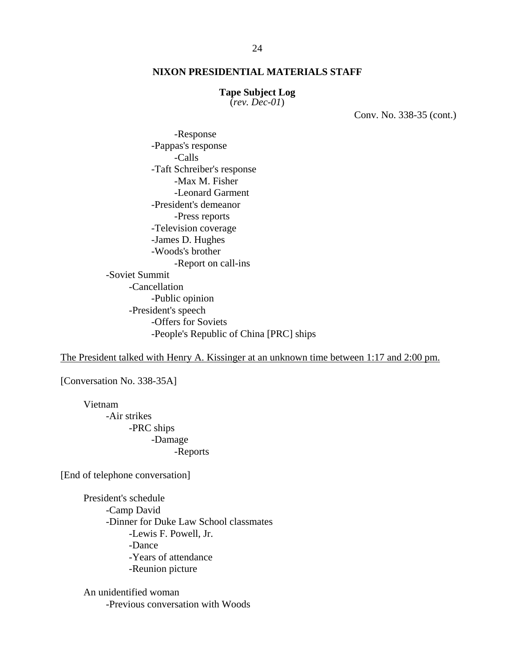#### **Tape Subject Log**

(*rev. Dec-01*)

Conv. No. 338-35 (cont.)

 -Response -Pappas's response -Calls -Taft Schreiber's response -Max M. Fisher -Leonard Garment -President's demeanor -Press reports -Television coverage -James D. Hughes -Woods's brother -Report on call-ins -Soviet Summit -Cancellation -Public opinion -President's speech -Offers for Soviets -People's Republic of China [PRC] ships

The President talked with Henry A. Kissinger at an unknown time between 1:17 and 2:00 pm.

[Conversation No. 338-35A]

Vietnam -Air strikes -PRC ships -Damage -Reports

[End of telephone conversation]

President's schedule -Camp David -Dinner for Duke Law School classmates -Lewis F. Powell, Jr. -Dance -Years of attendance -Reunion picture

An unidentified woman -Previous conversation with Woods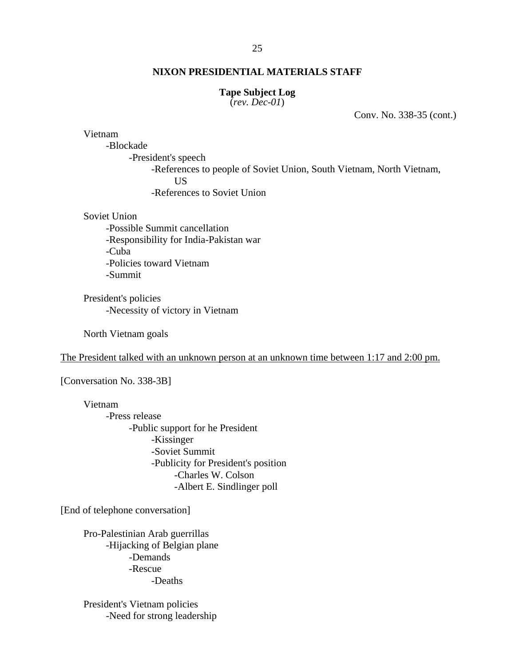#### **Tape Subject Log**

(*rev. Dec-01*)

Conv. No. 338-35 (cont.)

Vietnam

-Blockade

-President's speech -References to people of Soviet Union, South Vietnam, North Vietnam, US -References to Soviet Union

Soviet Union

-Possible Summit cancellation -Responsibility for India-Pakistan war -Cuba -Policies toward Vietnam -Summit

President's policies -Necessity of victory in Vietnam

North Vietnam goals

The President talked with an unknown person at an unknown time between 1:17 and 2:00 pm.

[Conversation No. 338-3B]

Vietnam -Press release -Public support for he President -Kissinger -Soviet Summit -Publicity for President's position -Charles W. Colson -Albert E. Sindlinger poll

[End of telephone conversation]

Pro-Palestinian Arab guerrillas -Hijacking of Belgian plane -Demands -Rescue -Deaths

President's Vietnam policies -Need for strong leadership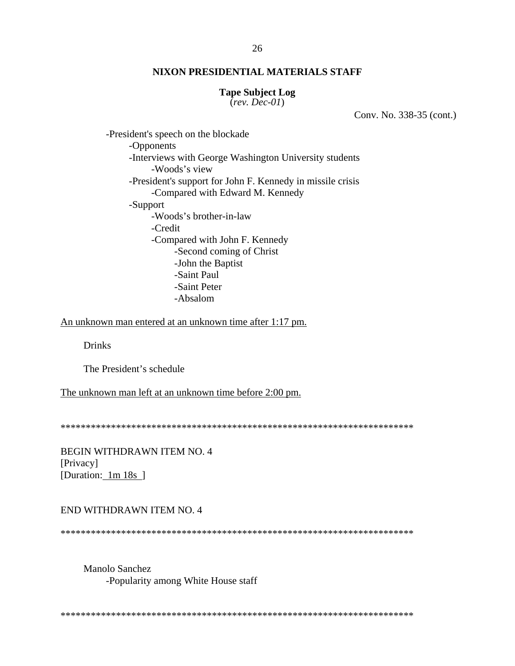#### **Tape Subject Log**

(*rev. Dec-01*)

Conv. No. 338-35 (cont.)

-President's speech on the blockade -Opponents -Interviews with George Washington University students -Woods's view -President's support for John F. Kennedy in missile crisis -Compared with Edward M. Kennedy -Support -Woods's brother-in-law -Credit -Compared with John F. Kennedy -Second coming of Christ -John the Baptist -Saint Paul -Saint Peter -Absalom

An unknown man entered at an unknown time after 1:17 pm.

Drinks

The President's schedule

The unknown man left at an unknown time before 2:00 pm.

\*\*\*\*\*\*\*\*\*\*\*\*\*\*\*\*\*\*\*\*\*\*\*\*\*\*\*\*\*\*\*\*\*\*\*\*\*\*\*\*\*\*\*\*\*\*\*\*\*\*\*\*\*\*\*\*\*\*\*\*\*\*\*\*\*\*\*\*\*\*

BEGIN WITHDRAWN ITEM NO. 4 [Privacy] [Duration: 1m 18s ]

## END WITHDRAWN ITEM NO. 4

\*\*\*\*\*\*\*\*\*\*\*\*\*\*\*\*\*\*\*\*\*\*\*\*\*\*\*\*\*\*\*\*\*\*\*\*\*\*\*\*\*\*\*\*\*\*\*\*\*\*\*\*\*\*\*\*\*\*\*\*\*\*\*\*\*\*\*\*\*\*

 Manolo Sanchez -Popularity among White House staff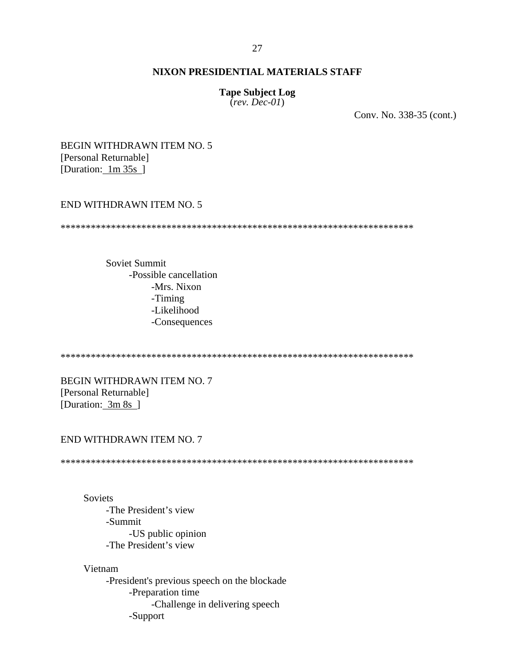#### 27

## **NIXON PRESIDENTIAL MATERIALS STAFF**

#### **Tape Subject Log**

(*rev. Dec-01*)

Conv. No. 338-35 (cont.)

BEGIN WITHDRAWN ITEM NO. 5 [Personal Returnable] [Duration: 1m 35s ]

## END WITHDRAWN ITEM NO. 5

\*\*\*\*\*\*\*\*\*\*\*\*\*\*\*\*\*\*\*\*\*\*\*\*\*\*\*\*\*\*\*\*\*\*\*\*\*\*\*\*\*\*\*\*\*\*\*\*\*\*\*\*\*\*\*\*\*\*\*\*\*\*\*\*\*\*\*\*\*\*

Soviet Summit -Possible cancellation -Mrs. Nixon -Timing -Likelihood -Consequences

\*\*\*\*\*\*\*\*\*\*\*\*\*\*\*\*\*\*\*\*\*\*\*\*\*\*\*\*\*\*\*\*\*\*\*\*\*\*\*\*\*\*\*\*\*\*\*\*\*\*\*\*\*\*\*\*\*\*\*\*\*\*\*\*\*\*\*\*\*\*

BEGIN WITHDRAWN ITEM NO. 7 [Personal Returnable] [Duration: 3m 8s ]

#### END WITHDRAWN ITEM NO. 7

\*\*\*\*\*\*\*\*\*\*\*\*\*\*\*\*\*\*\*\*\*\*\*\*\*\*\*\*\*\*\*\*\*\*\*\*\*\*\*\*\*\*\*\*\*\*\*\*\*\*\*\*\*\*\*\*\*\*\*\*\*\*\*\*\*\*\*\*\*\*

Soviets -The President's view -Summit -US public opinion -The President's view

Vietnam -President's previous speech on the blockade -Preparation time -Challenge in delivering speech -Support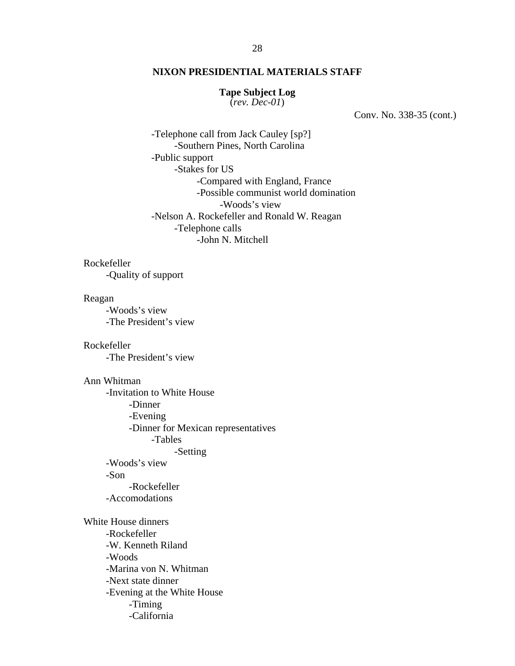#### **Tape Subject Log**

(*rev. Dec-01*)

Conv. No. 338-35 (cont.)

 -Telephone call from Jack Cauley [sp?] -Southern Pines, North Carolina -Public support -Stakes for US -Compared with England, France -Possible communist world domination -Woods's view -Nelson A. Rockefeller and Ronald W. Reagan -Telephone calls -John N. Mitchell

Rockefeller

-Quality of support

#### Reagan

-Woods's view -The President's view

Rockefeller -The President's view

## Ann Whitman

-Invitation to White House -Dinner -Evening -Dinner for Mexican representatives -Tables -Setting -Woods's view -Son -Rockefeller -Accomodations

White House dinners -Rockefeller -W. Kenneth Riland -Woods -Marina von N. Whitman -Next state dinner -Evening at the White House -Timing -California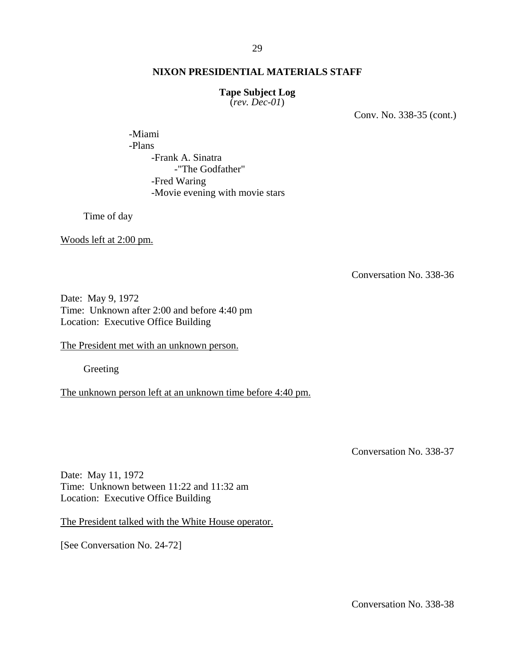## **Tape Subject Log**

(*rev. Dec-01*)

Conv. No. 338-35 (cont.)

-Miami -Plans -Frank A. Sinatra -"The Godfather" -Fred Waring -Movie evening with movie stars

Time of day

Woods left at 2:00 pm.

Conversation No. 338-36

Date: May 9, 1972 Time: Unknown after 2:00 and before 4:40 pm Location: Executive Office Building

The President met with an unknown person.

Greeting

The unknown person left at an unknown time before 4:40 pm.

Conversation No. 338-37

Date: May 11, 1972 Time: Unknown between 11:22 and 11:32 am Location: Executive Office Building

The President talked with the White House operator.

[See Conversation No. 24-72]

Conversation No. 338-38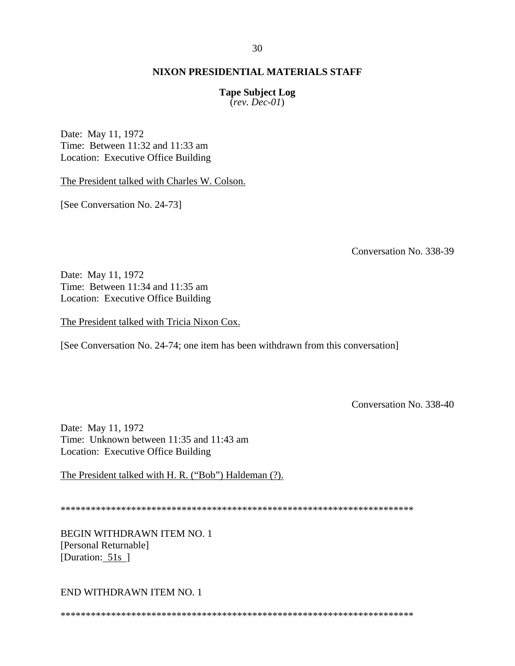**Tape Subject Log** 

(*rev. Dec-01*)

Date: May 11, 1972 Time: Between 11:32 and 11:33 am Location: Executive Office Building

The President talked with Charles W. Colson.

[See Conversation No. 24-73]

Conversation No. 338-39

Date: May 11, 1972 Time: Between 11:34 and 11:35 am Location: Executive Office Building

The President talked with Tricia Nixon Cox.

[See Conversation No. 24-74; one item has been withdrawn from this conversation]

Conversation No. 338-40

Date: May 11, 1972 Time: Unknown between 11:35 and 11:43 am Location: Executive Office Building

The President talked with H. R. ("Bob") Haldeman (?).

\*\*\*\*\*\*\*\*\*\*\*\*\*\*\*\*\*\*\*\*\*\*\*\*\*\*\*\*\*\*\*\*\*\*\*\*\*\*\*\*\*\*\*\*\*\*\*\*\*\*\*\*\*\*\*\*\*\*\*\*\*\*\*\*\*\*\*\*\*\*

BEGIN WITHDRAWN ITEM NO. 1 [Personal Returnable] [Duration: 51s]

END WITHDRAWN ITEM NO. 1

\*\*\*\*\*\*\*\*\*\*\*\*\*\*\*\*\*\*\*\*\*\*\*\*\*\*\*\*\*\*\*\*\*\*\*\*\*\*\*\*\*\*\*\*\*\*\*\*\*\*\*\*\*\*\*\*\*\*\*\*\*\*\*\*\*\*\*\*\*\*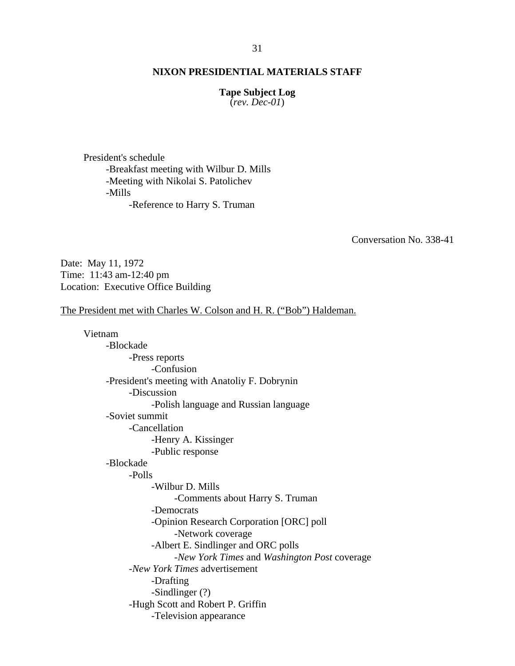#### **Tape Subject Log**

(*rev. Dec-01*)

President's schedule -Breakfast meeting with Wilbur D. Mills -Meeting with Nikolai S. Patolichev -Mills -Reference to Harry S. Truman

Conversation No. 338-41

Date: May 11, 1972 Time: 11:43 am-12:40 pm Location: Executive Office Building

## The President met with Charles W. Colson and H. R. ("Bob") Haldeman.

Vietnam -Blockade -Press reports -Confusion -President's meeting with Anatoliy F. Dobrynin -Discussion -Polish language and Russian language -Soviet summit -Cancellation -Henry A. Kissinger -Public response -Blockade -Polls -Wilbur D. Mills -Comments about Harry S. Truman -Democrats -Opinion Research Corporation [ORC] poll -Network coverage -Albert E. Sindlinger and ORC polls -*New York Times* and *Washington Post* coverage -*New York Times* advertisement -Drafting -Sindlinger (?) -Hugh Scott and Robert P. Griffin -Television appearance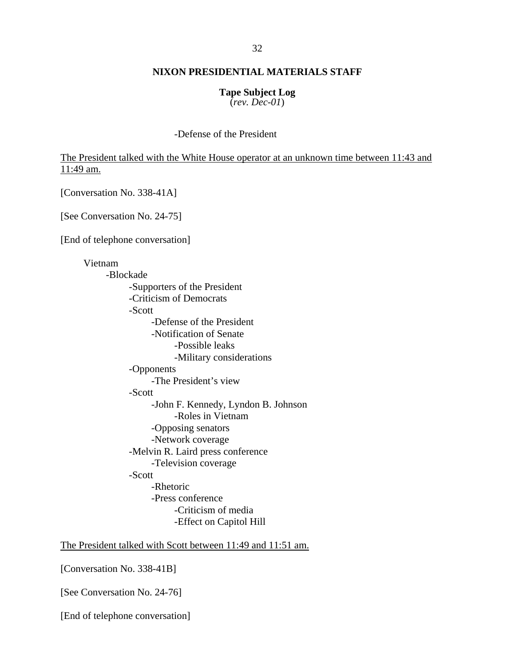## **Tape Subject Log**

(*rev. Dec-01*)

## -Defense of the President

The President talked with the White House operator at an unknown time between 11:43 and 11:49 am.

[Conversation No. 338-41A]

[See Conversation No. 24-75]

[End of telephone conversation]

Vietnam -Blockade -Supporters of the President -Criticism of Democrats -Scott -Defense of the President -Notification of Senate -Possible leaks -Military considerations -Opponents -The President's view -Scott -John F. Kennedy, Lyndon B. Johnson -Roles in Vietnam -Opposing senators -Network coverage -Melvin R. Laird press conference -Television coverage -Scott -Rhetoric -Press conference -Criticism of media -Effect on Capitol Hill

The President talked with Scott between 11:49 and 11:51 am.

[Conversation No. 338-41B]

[See Conversation No. 24-76]

[End of telephone conversation]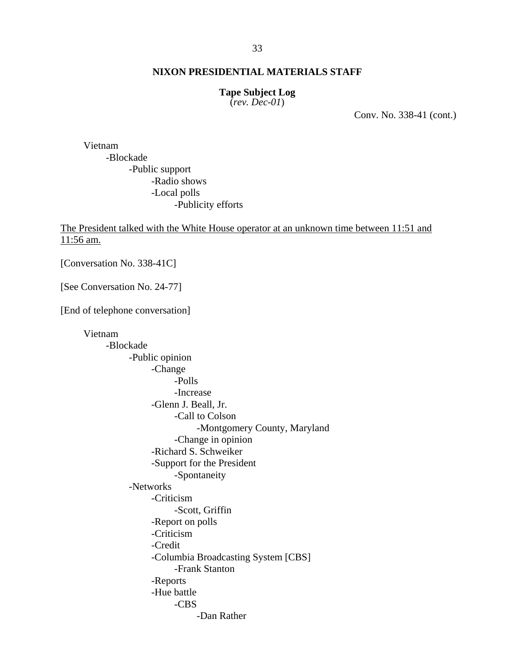#### 33

## **NIXON PRESIDENTIAL MATERIALS STAFF**

#### **Tape Subject Log**

(*rev. Dec-01*)

Conv. No. 338-41 (cont.)

Vietnam -Blockade -Public support -Radio shows -Local polls -Publicity efforts

The President talked with the White House operator at an unknown time between 11:51 and 11:56 am.

[Conversation No. 338-41C]

[See Conversation No. 24-77]

[End of telephone conversation]

Vietnam -Blockade -Public opinion -Change -Polls -Increase -Glenn J. Beall, Jr. -Call to Colson -Montgomery County, Maryland -Change in opinion -Richard S. Schweiker -Support for the President -Spontaneity -Networks -Criticism -Scott, Griffin -Report on polls -Criticism -Credit -Columbia Broadcasting System [CBS] -Frank Stanton -Reports -Hue battle -CBS -Dan Rather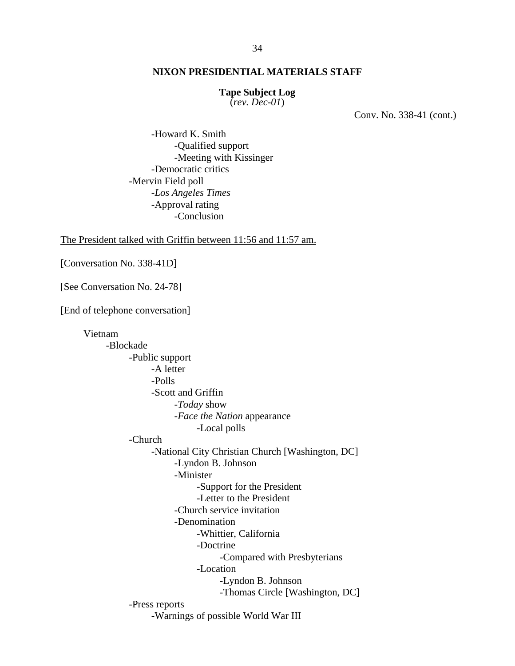#### **Tape Subject Log**

(*rev. Dec-01*)

Conv. No. 338-41 (cont.)

 -Howard K. Smith -Qualified support -Meeting with Kissinger -Democratic critics -Mervin Field poll -*Los Angeles Times* -Approval rating -Conclusion

The President talked with Griffin between 11:56 and 11:57 am.

[Conversation No. 338-41D]

[See Conversation No. 24-78]

[End of telephone conversation]

Vietnam -Blockade -Public support -A letter -Polls -Scott and Griffin -*Today* show -*Face the Nation* appearance -Local polls -Church -National City Christian Church [Washington, DC] -Lyndon B. Johnson -Minister -Support for the President -Letter to the President -Church service invitation -Denomination -Whittier, California -Doctrine -Compared with Presbyterians -Location -Lyndon B. Johnson -Thomas Circle [Washington, DC] -Press reports -Warnings of possible World War III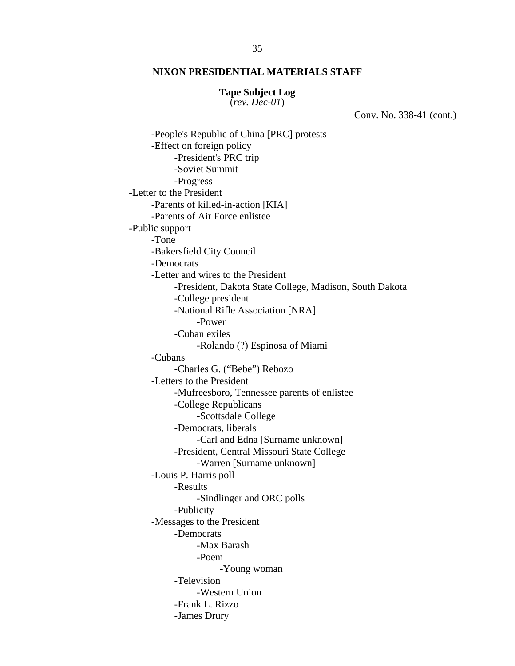#### **Tape Subject Log**

(*rev. Dec-01*)

Conv. No. 338-41 (cont.)

 -People's Republic of China [PRC] protests -Effect on foreign policy -President's PRC trip -Soviet Summit -Progress -Letter to the President -Parents of killed-in-action [KIA] -Parents of Air Force enlistee -Public support -Tone -Bakersfield City Council -Democrats -Letter and wires to the President -President, Dakota State College, Madison, South Dakota -College president -National Rifle Association [NRA] -Power -Cuban exiles -Rolando (?) Espinosa of Miami -Cubans -Charles G. ("Bebe") Rebozo -Letters to the President -Mufreesboro, Tennessee parents of enlistee -College Republicans -Scottsdale College -Democrats, liberals -Carl and Edna [Surname unknown] -President, Central Missouri State College -Warren [Surname unknown] -Louis P. Harris poll -Results -Sindlinger and ORC polls -Publicity -Messages to the President -Democrats -Max Barash -Poem -Young woman -Television -Western Union -Frank L. Rizzo -James Drury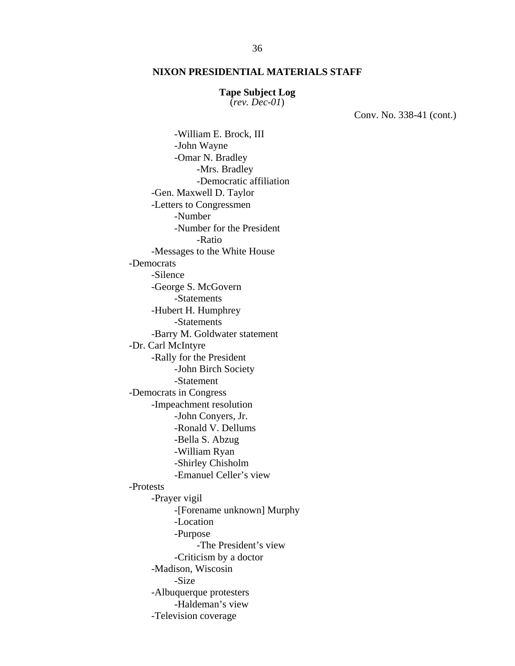#### **Tape Subject Log**

(*rev. Dec-01*)

Conv. No. 338-41 (cont.)

 -William E. Brock, III -John Wayne -Omar N. Bradley -Mrs. Bradley -Democratic affiliation -Gen. Maxwell D. Taylor -Letters to Congressmen -Number -Number for the President -Ratio -Messages to the White House -Democrats -Silence -George S. McGovern -Statements -Hubert H. Humphrey -Statements -Barry M. Goldwater statement -Dr. Carl McIntyre -Rally for the President -John Birch Society -Statement -Democrats in Congress -Impeachment resolution -John Conyers, Jr. -Ronald V. Dellums -Bella S. Abzug -William Ryan -Shirley Chisholm -Emanuel Celler's view -Protests -Prayer vigil -[Forename unknown] Murphy -Location -Purpose -The President's view -Criticism by a doctor -Madison, Wiscosin -Size -Albuquerque protesters -Haldeman's view -Television coverage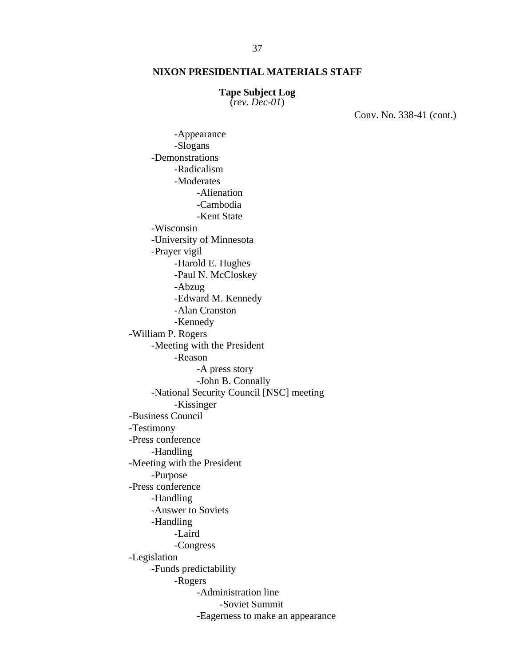#### **Tape Subject Log**

(*rev. Dec-01*)

Conv. No. 338-41 (cont.)

 -Appearance -Slogans -Demonstrations -Radicalism -Moderates -Alienation -Cambodia -Kent State -Wisconsin -University of Minnesota -Prayer vigil -Harold E. Hughes -Paul N. McCloskey -Abzug -Edward M. Kennedy -Alan Cranston -Kennedy -William P. Rogers -Meeting with the President -Reason -A press story -John B. Connally -National Security Council [NSC] meeting -Kissinger -Business Council -Testimony -Press conference -Handling -Meeting with the President -Purpose -Press conference -Handling -Answer to Soviets -Handling -Laird -Congress -Legislation -Funds predictability -Rogers -Administration line -Soviet Summit -Eagerness to make an appearance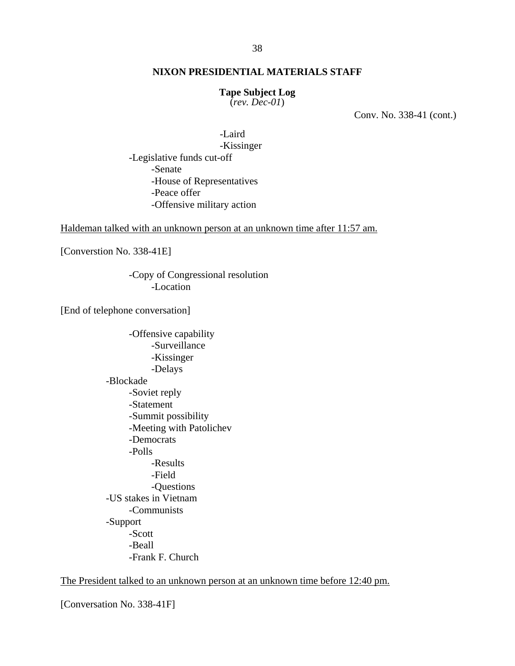#### **Tape Subject Log**

(*rev. Dec-01*)

Conv. No. 338-41 (cont.)

 -Laird -Kissinger -Legislative funds cut-off -Senate -House of Representatives -Peace offer -Offensive military action

Haldeman talked with an unknown person at an unknown time after 11:57 am.

[Converstion No. 338-41E]

 -Copy of Congressional resolution -Location

[End of telephone conversation]

-Offensive capability -Surveillance -Kissinger -Delays -Blockade -Soviet reply -Statement -Summit possibility -Meeting with Patolichev -Democrats -Polls -Results -Field -Questions -US stakes in Vietnam -Communists -Support -Scott -Beall -Frank F. Church

The President talked to an unknown person at an unknown time before 12:40 pm.

[Conversation No. 338-41F]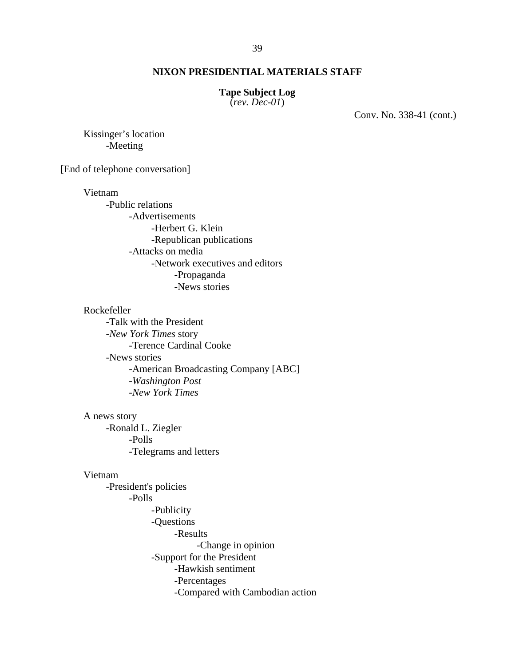#### **Tape Subject Log**

(*rev. Dec-01*)

Conv. No. 338-41 (cont.)

 Kissinger's location -Meeting

[End of telephone conversation]

Vietnam

 -Public relations -Advertisements -Herbert G. Klein -Republican publications -Attacks on media -Network executives and editors -Propaganda -News stories

#### Rockefeller

-Talk with the President -*New York Times* story -Terence Cardinal Cooke -News stories -American Broadcasting Company [ABC] -*Washington Post* -*New York Times*

#### A news story

-Ronald L. Ziegler -Polls -Telegrams and letters

#### Vietnam

-President's policies -Polls -Publicity -Questions -Results -Change in opinion -Support for the President -Hawkish sentiment -Percentages -Compared with Cambodian action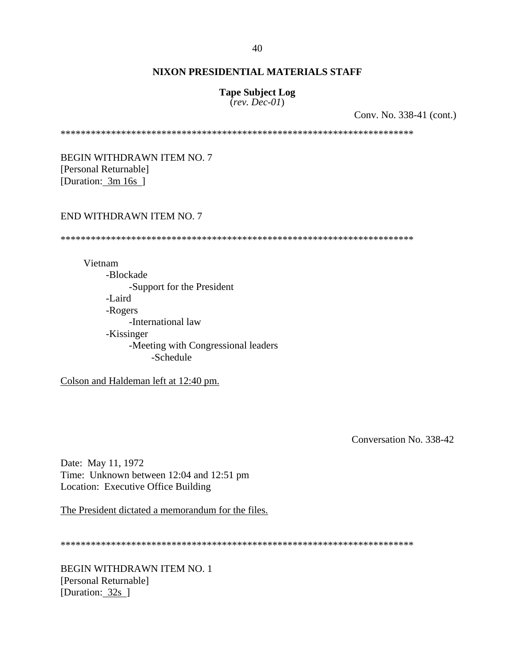## **Tape Subject Log**

(*rev. Dec-01*)

Conv. No. 338-41 (cont.)

\*\*\*\*\*\*\*\*\*\*\*\*\*\*\*\*\*\*\*\*\*\*\*\*\*\*\*\*\*\*\*\*\*\*\*\*\*\*\*\*\*\*\*\*\*\*\*\*\*\*\*\*\*\*\*\*\*\*\*\*\*\*\*\*\*\*\*\*\*\*

BEGIN WITHDRAWN ITEM NO. 7 [Personal Returnable] [Duration: 3m 16s ]

#### END WITHDRAWN ITEM NO. 7

\*\*\*\*\*\*\*\*\*\*\*\*\*\*\*\*\*\*\*\*\*\*\*\*\*\*\*\*\*\*\*\*\*\*\*\*\*\*\*\*\*\*\*\*\*\*\*\*\*\*\*\*\*\*\*\*\*\*\*\*\*\*\*\*\*\*\*\*\*\*

Vietnam -Blockade -Support for the President -Laird -Rogers -International law -Kissinger -Meeting with Congressional leaders -Schedule

Colson and Haldeman left at 12:40 pm.

Conversation No. 338-42

Date: May 11, 1972 Time: Unknown between 12:04 and 12:51 pm Location: Executive Office Building

The President dictated a memorandum for the files.

\*\*\*\*\*\*\*\*\*\*\*\*\*\*\*\*\*\*\*\*\*\*\*\*\*\*\*\*\*\*\*\*\*\*\*\*\*\*\*\*\*\*\*\*\*\*\*\*\*\*\*\*\*\*\*\*\*\*\*\*\*\*\*\*\*\*\*\*\*\*

BEGIN WITHDRAWN ITEM NO. 1 [Personal Returnable] [Duration: 32s ]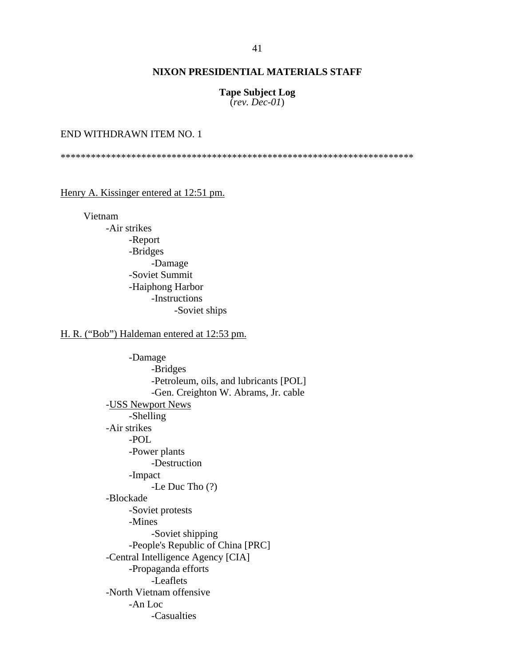**Tape Subject Log**  (*rev. Dec-01*)

#### END WITHDRAWN ITEM NO. 1

\*\*\*\*\*\*\*\*\*\*\*\*\*\*\*\*\*\*\*\*\*\*\*\*\*\*\*\*\*\*\*\*\*\*\*\*\*\*\*\*\*\*\*\*\*\*\*\*\*\*\*\*\*\*\*\*\*\*\*\*\*\*\*\*\*\*\*\*\*\*

#### Henry A. Kissinger entered at 12:51 pm.

Vietnam

-Air strikes -Report -Bridges -Damage -Soviet Summit -Haiphong Harbor -Instructions -Soviet ships

## H. R. ("Bob") Haldeman entered at 12:53 pm.

-Damage -Bridges -Petroleum, oils, and lubricants [POL] -Gen. Creighton W. Abrams, Jr. cable -USS Newport News -Shelling -Air strikes -POL -Power plants -Destruction -Impact -Le Duc Tho (?) -Blockade -Soviet protests -Mines -Soviet shipping -People's Republic of China [PRC] -Central Intelligence Agency [CIA] -Propaganda efforts -Leaflets -North Vietnam offensive -An Loc -Casualties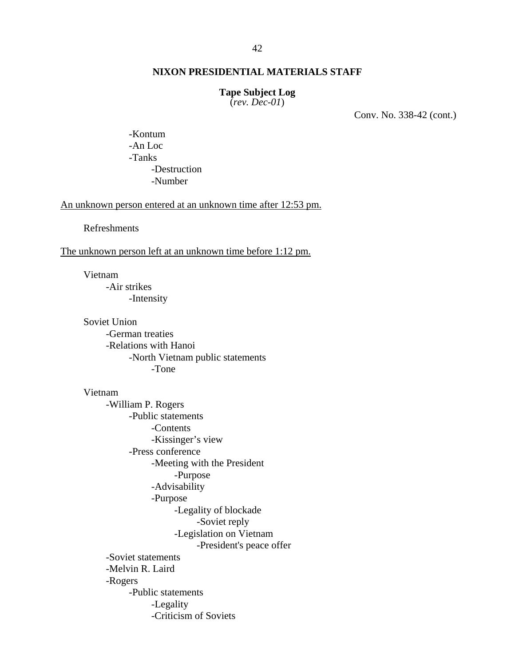#### **Tape Subject Log**

(*rev. Dec-01*)

Conv. No. 338-42 (cont.)

-Kontum -An Loc -Tanks -Destruction -Number

An unknown person entered at an unknown time after 12:53 pm.

Refreshments

The unknown person left at an unknown time before 1:12 pm.

Vietnam -Air strikes -Intensity

Soviet Union -German treaties -Relations with Hanoi -North Vietnam public statements -Tone

Vietnam -William P. Rogers -Public statements -Contents -Kissinger's view -Press conference -Meeting with the President -Purpose -Advisability -Purpose -Legality of blockade -Soviet reply -Legislation on Vietnam -President's peace offer -Soviet statements -Melvin R. Laird -Rogers -Public statements -Legality -Criticism of Soviets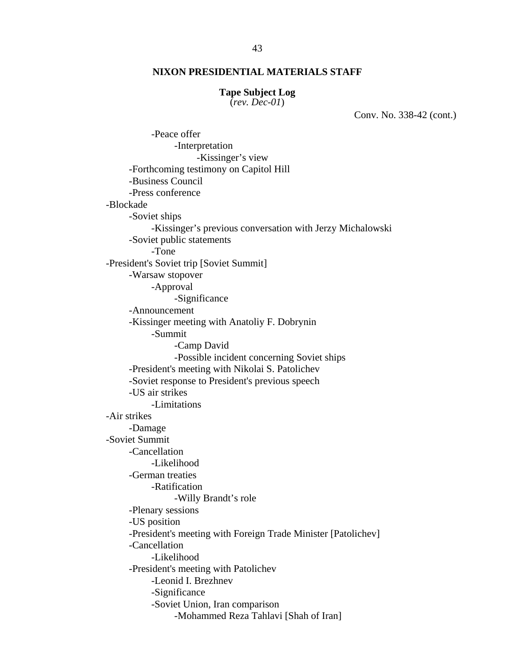#### **Tape Subject Log**

(*rev. Dec-01*)

Conv. No. 338-42 (cont.)

-Peace offer -Interpretation -Kissinger's view -Forthcoming testimony on Capitol Hill -Business Council -Press conference -Blockade -Soviet ships -Kissinger's previous conversation with Jerzy Michalowski -Soviet public statements -Tone -President's Soviet trip [Soviet Summit] -Warsaw stopover -Approval -Significance -Announcement -Kissinger meeting with Anatoliy F. Dobrynin -Summit -Camp David -Possible incident concerning Soviet ships -President's meeting with Nikolai S. Patolichev -Soviet response to President's previous speech -US air strikes -Limitations -Air strikes -Damage -Soviet Summit -Cancellation -Likelihood -German treaties -Ratification -Willy Brandt's role -Plenary sessions -US position -President's meeting with Foreign Trade Minister [Patolichev] -Cancellation -Likelihood -President's meeting with Patolichev -Leonid I. Brezhnev -Significance -Soviet Union, Iran comparison -Mohammed Reza Tahlavi [Shah of Iran]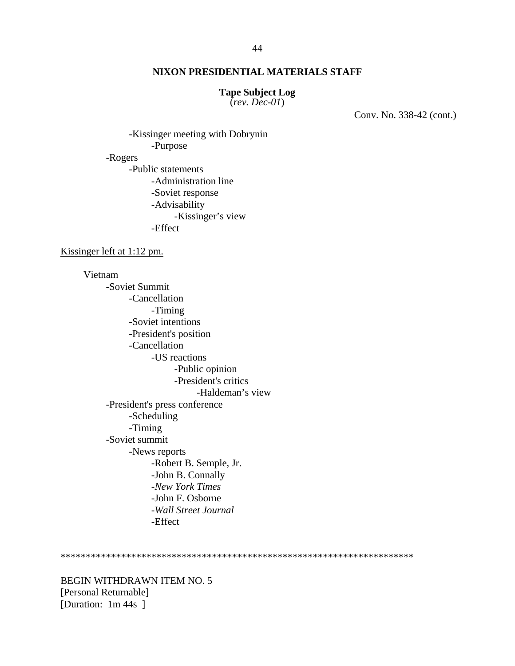#### **Tape Subject Log**

(*rev. Dec-01*)

Conv. No. 338-42 (cont.)

-Kissinger meeting with Dobrynin -Purpose -Rogers -Public statements -Administration line -Soviet response -Advisability -Kissinger's view -Effect

Kissinger left at 1:12 pm.

Vietnam -Soviet Summit -Cancellation -Timing -Soviet intentions -President's position -Cancellation -US reactions -Public opinion -President's critics -Haldeman's view -President's press conference -Scheduling -Timing -Soviet summit -News reports -Robert B. Semple, Jr. -John B. Connally -*New York Times* -John F. Osborne -*Wall Street Journal* -Effect

\*\*\*\*\*\*\*\*\*\*\*\*\*\*\*\*\*\*\*\*\*\*\*\*\*\*\*\*\*\*\*\*\*\*\*\*\*\*\*\*\*\*\*\*\*\*\*\*\*\*\*\*\*\*\*\*\*\*\*\*\*\*\*\*\*\*\*\*\*\*

BEGIN WITHDRAWN ITEM NO. 5 [Personal Returnable] [Duration: 1m 44s ]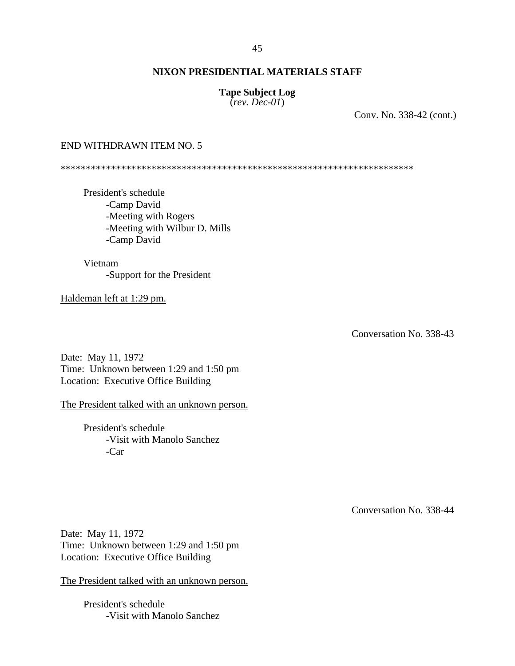## **Tape Subject Log**

(*rev. Dec-01*)

Conv. No. 338-42 (cont.)

## END WITHDRAWN ITEM NO. 5

\*\*\*\*\*\*\*\*\*\*\*\*\*\*\*\*\*\*\*\*\*\*\*\*\*\*\*\*\*\*\*\*\*\*\*\*\*\*\*\*\*\*\*\*\*\*\*\*\*\*\*\*\*\*\*\*\*\*\*\*\*\*\*\*\*\*\*\*\*\*

President's schedule -Camp David -Meeting with Rogers -Meeting with Wilbur D. Mills -Camp David

Vietnam -Support for the President

Haldeman left at 1:29 pm.

Conversation No. 338-43

Date: May 11, 1972 Time: Unknown between 1:29 and 1:50 pm Location: Executive Office Building

The President talked with an unknown person.

President's schedule -Visit with Manolo Sanchez -Car

Conversation No. 338-44

Date: May 11, 1972 Time: Unknown between 1:29 and 1:50 pm Location: Executive Office Building

The President talked with an unknown person.

President's schedule -Visit with Manolo Sanchez